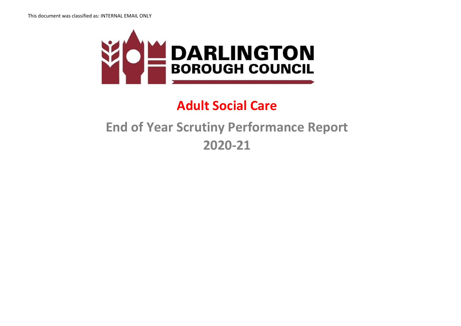

## **Adult Social Care**

## **End of Year Scrutiny Performance Report 2020-21**